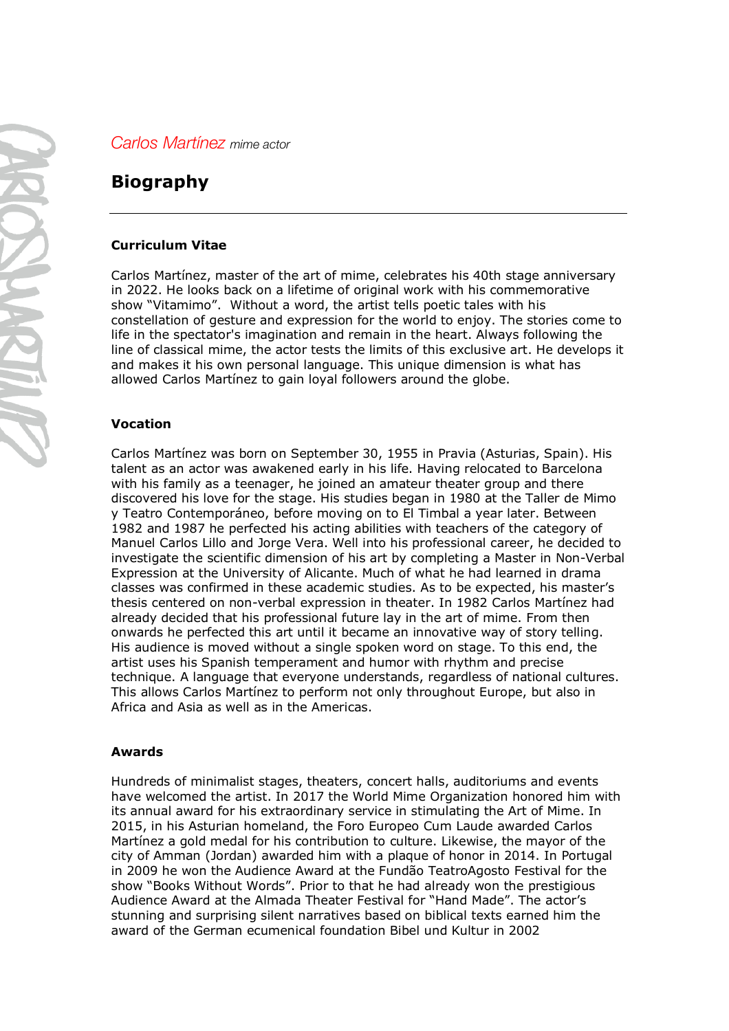*Carlos Martínez mime actor*

# **Biography**

## **Curriculum Vitae**

Carlos Martínez, master of the art of mime, celebrates his 40th stage anniversary in 2022. He looks back on a lifetime of original work with his commemorative show "Vitamimo". Without a word, the artist tells poetic tales with his constellation of gesture and expression for the world to enjoy. The stories come to life in the spectator's imagination and remain in the heart. Always following the line of classical mime, the actor tests the limits of this exclusive art. He develops it and makes it his own personal language. This unique dimension is what has allowed Carlos Martínez to gain loyal followers around the globe.

## **Vocation**

Carlos Martínez was born on September 30, 1955 in Pravia (Asturias, Spain). His talent as an actor was awakened early in his life. Having relocated to Barcelona with his family as a teenager, he joined an amateur theater group and there discovered his love for the stage. His studies began in 1980 at the Taller de Mimo y Teatro Contemporáneo, before moving on to El Timbal a year later. Between 1982 and 1987 he perfected his acting abilities with teachers of the category of Manuel Carlos Lillo and Jorge Vera. Well into his professional career, he decided to investigate the scientific dimension of his art by completing a Master in Non-Verbal Expression at the University of Alicante. Much of what he had learned in drama classes was confirmed in these academic studies. As to be expected, his master's thesis centered on non-verbal expression in theater. In 1982 Carlos Martínez had already decided that his professional future lay in the art of mime. From then onwards he perfected this art until it became an innovative way of story telling. His audience is moved without a single spoken word on stage. To this end, the artist uses his Spanish temperament and humor with rhythm and precise technique. A language that everyone understands, regardless of national cultures. This allows Carlos Martínez to perform not only throughout Europe, but also in Africa and Asia as well as in the Americas.

#### **Awards**

Hundreds of minimalist stages, theaters, concert halls, auditoriums and events have welcomed the artist. In 2017 the World Mime Organization honored him with its annual award for his extraordinary service in stimulating the Art of Mime. In 2015, in his Asturian homeland, the Foro Europeo Cum Laude awarded Carlos Martínez a gold medal for his contribution to culture. Likewise, the mayor of the city of Amman (Jordan) awarded him with a plaque of honor in 2014. In Portugal in 2009 he won the Audience Award at the Fundão TeatroAgosto Festival for the show "Books Without Words". Prior to that he had already won the prestigious Audience Award at the Almada Theater Festival for "Hand Made". The actor's stunning and surprising silent narratives based on biblical texts earned him the award of the German ecumenical foundation Bibel und Kultur in 2002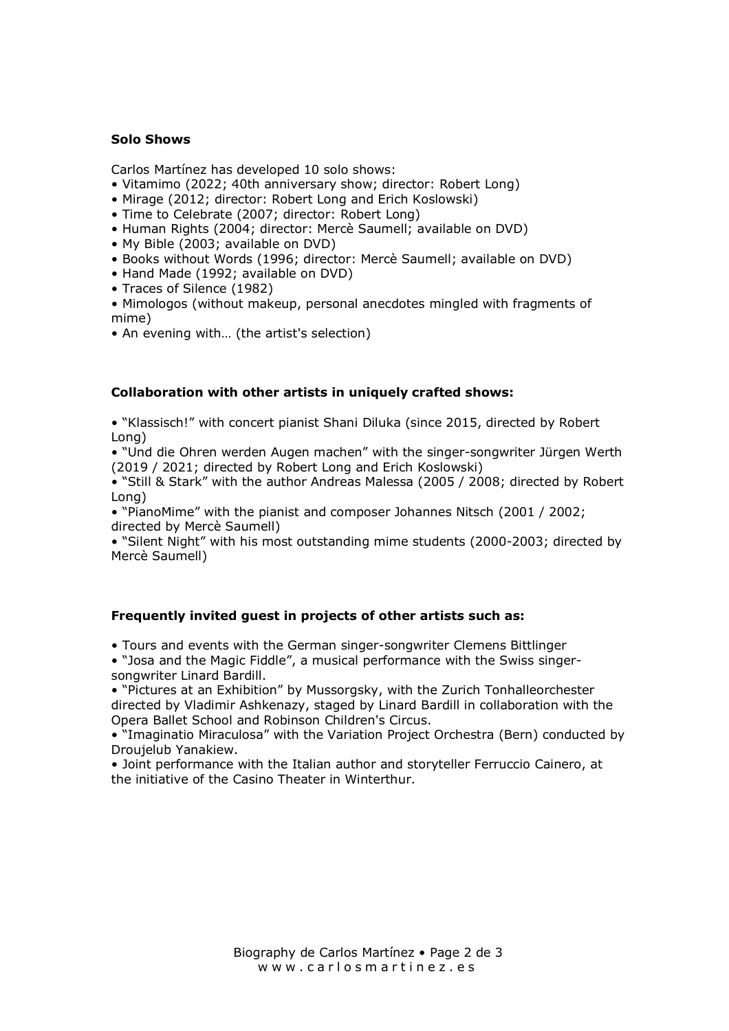## **Solo Shows**

Carlos Martínez has developed 10 solo shows:

- Vitamimo (2022; 40th anniversary show; director: Robert Long)
- Mirage (2012; director: Robert Long and Erich Koslowski)
- Time to Celebrate (2007; director: Robert Long)
- Human Rights (2004; director: Mercè Saumell; available on DVD)
- My Bible (2003; available on DVD)
- Books without Words (1996; director: Mercè Saumell; available on DVD)
- Hand Made (1992; available on DVD)
- Traces of Silence (1982)
- Mimologos (without makeup, personal anecdotes mingled with fragments of mime)
- An evening with… (the artist's selection)

## **Collaboration with other artists in uniquely crafted shows:**

• "Klassisch!" with concert pianist Shani Diluka (since 2015, directed by Robert Long)

• "Und die Ohren werden Augen machen" with the singer-songwriter Jürgen Werth (2019 / 2021; directed by Robert Long and Erich Koslowski)

• "Still & Stark" with the author Andreas Malessa (2005 / 2008; directed by Robert Long)

• "PianoMime" with the pianist and composer Johannes Nitsch (2001 / 2002; directed by Mercè Saumell)

• "Silent Night" with his most outstanding mime students (2000-2003; directed by Mercè Saumell)

## **Frequently invited guest in projects of other artists such as:**

• Tours and events with the German singer-songwriter Clemens Bittlinger

• "Josa and the Magic Fiddle", a musical performance with the Swiss singersongwriter Linard Bardill.

• "Pictures at an Exhibition" by Mussorgsky, with the Zurich Tonhalleorchester directed by Vladimir Ashkenazy, staged by Linard Bardill in collaboration with the Opera Ballet School and Robinson Children's Circus.

• "Imaginatio Miraculosa" with the Variation Project Orchestra (Bern) conducted by Droujelub Yanakiew.

• Joint performance with the Italian author and storyteller Ferruccio Cainero, at the initiative of the Casino Theater in Winterthur.